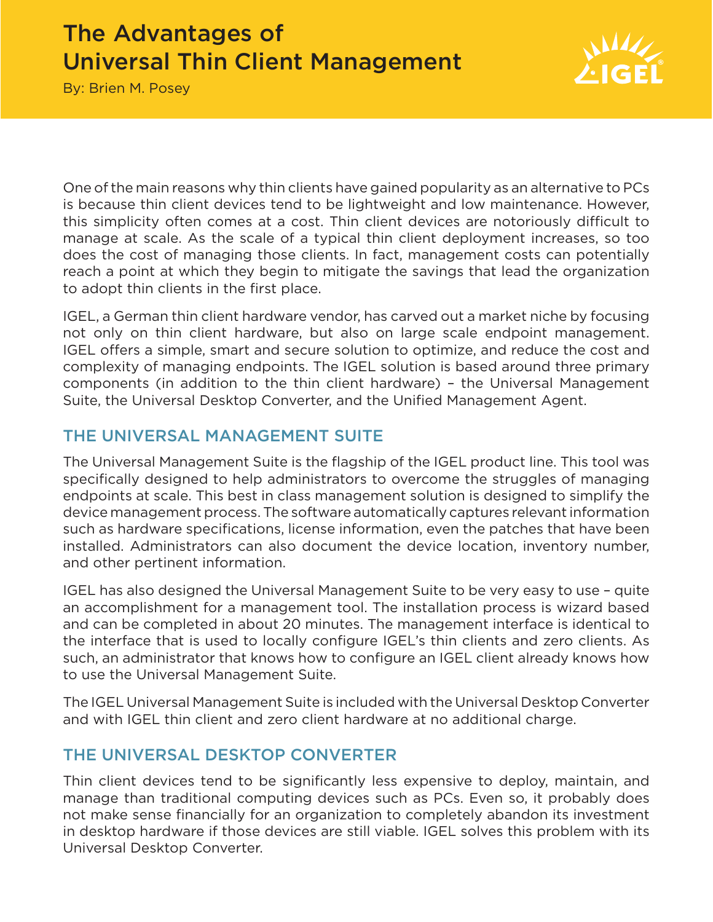# The Advantages of Universal Thin Client Management



By: Brien M. Posey

One of the main reasons why thin clients have gained popularity as an alternative to PCs is because thin client devices tend to be lightweight and low maintenance. However, this simplicity often comes at a cost. Thin client devices are notoriously difficult to manage at scale. As the scale of a typical thin client deployment increases, so too does the cost of managing those clients. In fact, management costs can potentially reach a point at which they begin to mitigate the savings that lead the organization to adopt thin clients in the first place.

IGEL, a German thin client hardware vendor, has carved out a market niche by focusing not only on thin client hardware, but also on large scale endpoint management. IGEL offers a simple, smart and secure solution to optimize, and reduce the cost and complexity of managing endpoints. The IGEL solution is based around three primary components (in addition to the thin client hardware) – the Universal Management Suite, the Universal Desktop Converter, and the Unified Management Agent.

#### THE UNIVERSAL MANAGEMENT SUITE

The Universal Management Suite is the flagship of the IGEL product line. This tool was specifically designed to help administrators to overcome the struggles of managing endpoints at scale. This best in class management solution is designed to simplify the device management process. The software automatically captures relevant information such as hardware specifications, license information, even the patches that have been installed. Administrators can also document the device location, inventory number, and other pertinent information.

IGEL has also designed the Universal Management Suite to be very easy to use – quite an accomplishment for a management tool. The installation process is wizard based and can be completed in about 20 minutes. The management interface is identical to the interface that is used to locally configure IGEL's thin clients and zero clients. As such, an administrator that knows how to configure an IGEL client already knows how to use the Universal Management Suite.

The IGEL Universal Management Suite is included with the Universal Desktop Converter and with IGEL thin client and zero client hardware at no additional charge.

## THE UNIVERSAL DESKTOP CONVERTER

Thin client devices tend to be significantly less expensive to deploy, maintain, and manage than traditional computing devices such as PCs. Even so, it probably does not make sense financially for an organization to completely abandon its investment in desktop hardware if those devices are still viable. IGEL solves this problem with its Universal Desktop Converter.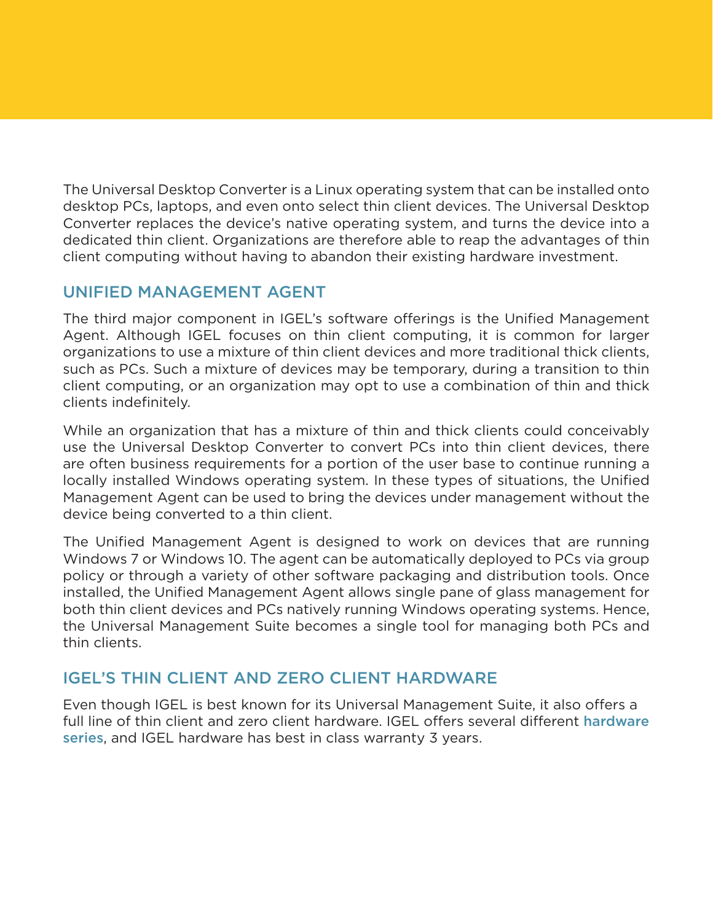The Universal Desktop Converter is a Linux operating system that can be installed onto desktop PCs, laptops, and even onto select thin client devices. The Universal Desktop Converter replaces the device's native operating system, and turns the device into a dedicated thin client. Organizations are therefore able to reap the advantages of thin client computing without having to abandon their existing hardware investment.

#### UNIFIED MANAGEMENT AGENT

The third major component in IGEL's software offerings is the Unified Management Agent. Although IGEL focuses on thin client computing, it is common for larger organizations to use a mixture of thin client devices and more traditional thick clients, such as PCs. Such a mixture of devices may be temporary, during a transition to thin client computing, or an organization may opt to use a combination of thin and thick clients indefinitely.

While an organization that has a mixture of thin and thick clients could conceivably use the Universal Desktop Converter to convert PCs into thin client devices, there are often business requirements for a portion of the user base to continue running a locally installed Windows operating system. In these types of situations, the Unified Management Agent can be used to bring the devices under management without the device being converted to a thin client.

The Unified Management Agent is designed to work on devices that are running Windows 7 or Windows 10. The agent can be automatically deployed to PCs via group policy or through a variety of other software packaging and distribution tools. Once installed, the Unified Management Agent allows single pane of glass management for both thin client devices and PCs natively running Windows operating systems. Hence, the Universal Management Suite becomes a single tool for managing both PCs and thin clients.

## IGEL'S THIN CLIENT AND ZERO CLIENT HARDWARE

Even though IGEL is best known for its Universal Management Suite, it also offers a full line of thin client and zero client hardware. IGEL offers several different hardware [series](https://www.igel.com/us/products/igel-thin-clients/hardware-overview/overview-hardware.html), and IGEL hardware has best in class warranty 3 years.